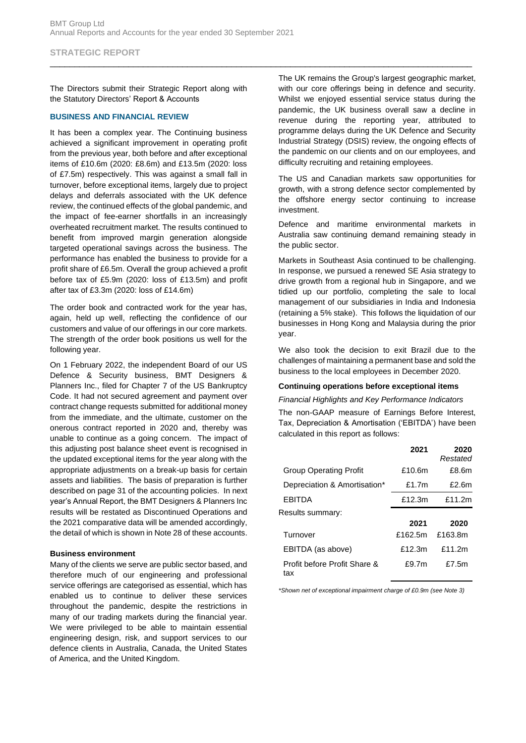## **STRATEGIC REPORT**

The Directors submit their Strategic Report along with the Statutory Directors' Report & Accounts

#### **BUSINESS AND FINANCIAL REVIEW**

It has been a complex year. The Continuing business achieved a significant improvement in operating profit from the previous year, both before and after exceptional items of £10.6m (2020: £8.6m) and £13.5m (2020: loss of £7.5m) respectively. This was against a small fall in turnover, before exceptional items, largely due to project delays and deferrals associated with the UK defence review, the continued effects of the global pandemic, and the impact of fee-earner shortfalls in an increasingly overheated recruitment market. The results continued to benefit from improved margin generation alongside targeted operational savings across the business. The performance has enabled the business to provide for a profit share of £6.5m. Overall the group achieved a profit before tax of £5.9m (2020: loss of £13.5m) and profit after tax of £3.3m (2020: loss of £14.6m)

The order book and contracted work for the year has, again, held up well, reflecting the confidence of our customers and value of our offerings in our core markets. The strength of the order book positions us well for the following year.

On 1 February 2022, the independent Board of our US Defence & Security business, BMT Designers & Planners Inc., filed for Chapter 7 of the US Bankruptcy Code. It had not secured agreement and payment over contract change requests submitted for additional money from the immediate, and the ultimate, customer on the onerous contract reported in 2020 and, thereby was unable to continue as a going concern. The impact of this adjusting post balance sheet event is recognised in the updated exceptional items for the year along with the appropriate adjustments on a break-up basis for certain assets and liabilities. The basis of preparation is further described on page 31 of the accounting policies. In next year's Annual Report, the BMT Designers & Planners Inc results will be restated as Discontinued Operations and the 2021 comparative data will be amended accordingly, the detail of which is shown in Note 28 of these accounts.

#### **Business environment**

Many of the clients we serve are public sector based, and therefore much of our engineering and professional service offerings are categorised as essential, which has enabled us to continue to deliver these services throughout the pandemic, despite the restrictions in many of our trading markets during the financial year. We were privileged to be able to maintain essential engineering design, risk, and support services to our defence clients in Australia, Canada, the United States of America, and the United Kingdom.

The UK remains the Group's largest geographic market, with our core offerings being in defence and security. Whilst we enjoyed essential service status during the pandemic, the UK business overall saw a decline in revenue during the reporting year, attributed to programme delays during the UK Defence and Security Industrial Strategy (DSIS) review, the ongoing effects of the pandemic on our clients and on our employees, and difficulty recruiting and retaining employees.

The US and Canadian markets saw opportunities for growth, with a strong defence sector complemented by the offshore energy sector continuing to increase investment.

Defence and maritime environmental markets in Australia saw continuing demand remaining steady in the public sector.

Markets in Southeast Asia continued to be challenging. In response, we pursued a renewed SE Asia strategy to drive growth from a regional hub in Singapore, and we tidied up our portfolio, completing the sale to local management of our subsidiaries in India and Indonesia (retaining a 5% stake). This follows the liquidation of our businesses in Hong Kong and Malaysia during the prior year.

We also took the decision to exit Brazil due to the challenges of maintaining a permanent base and sold the business to the local employees in December 2020.

#### **Continuing operations before exceptional items**

#### *Financial Highlights and Key Performance Indicators*

The non-GAAP measure of Earnings Before Interest, Tax, Depreciation & Amortisation ('EBITDA') have been calculated in this report as follows:

|                                     | 2021     | 2020<br>Restated |
|-------------------------------------|----------|------------------|
| <b>Group Operating Profit</b>       | £10.6m   | £8.6m            |
| Depreciation & Amortisation*        | £1.7 $m$ | £2.6m            |
| <b>FBITDA</b>                       | £12.3m   | £11.2m           |
| Results summary:                    |          |                  |
|                                     | 2021     | 2020             |
| Turnover                            | £162.5m  | £163.8m          |
| EBITDA (as above)                   | £12.3m   | f11.2m           |
| Profit before Profit Share &<br>tax | £9.7m    | £7.5m            |

*\*Shown net of exceptional impairment charge of £0.9m (see Note 3)*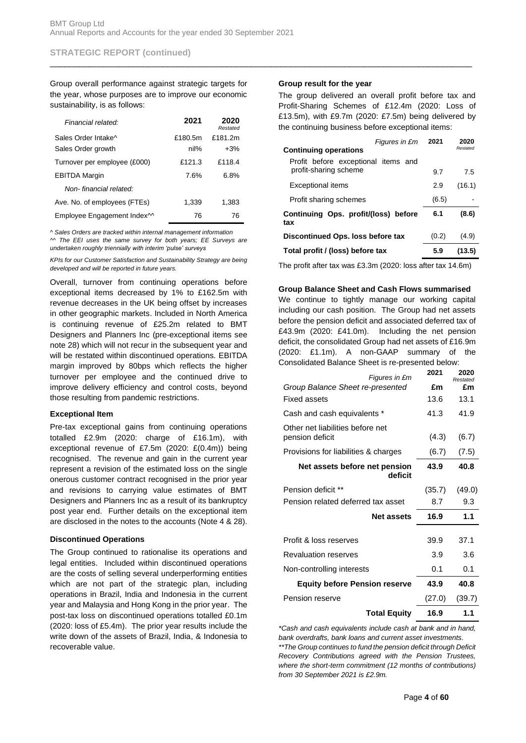Group overall performance against strategic targets for the year, whose purposes are to improve our economic sustainability, is as follows:

| Financial related:                      | 2021    | 2020<br>Restated |
|-----------------------------------------|---------|------------------|
| Sales Order Intake^                     | £180.5m | £181.2m          |
| Sales Order growth                      | nil%    | $+3%$            |
| Turnover per employee (£000)            | £121.3  | £118.4           |
| <b>EBITDA Margin</b>                    | 7.6%    | 6.8%             |
| Non-financial related:                  |         |                  |
| Ave. No. of employees (FTEs)            | 1,339   | 1,383            |
| Employee Engagement Index <sup>11</sup> | 76      | 76               |

*^ Sales Orders are tracked within internal management information ^^ The EEI uses the same survey for both years; EE Surveys are undertaken roughly triennially with interim 'pulse' surveys*

*KPIs for our Customer Satisfaction and Sustainability Strategy are being developed and will be reported in future years.*

Overall, turnover from continuing operations before exceptional items decreased by 1% to £162.5m with revenue decreases in the UK being offset by increases in other geographic markets. Included in North America is continuing revenue of £25.2m related to BMT Designers and Planners Inc (pre-exceptional items see note 28) which will not recur in the subsequent year and will be restated within discontinued operations. EBITDA margin improved by 80bps which reflects the higher turnover per employee and the continued drive to improve delivery efficiency and control costs, beyond those resulting from pandemic restrictions.

## **Exceptional Item**

Pre-tax exceptional gains from continuing operations totalled £2.9m (2020: charge of £16.1m), with exceptional revenue of £7.5m (2020: £(0.4m)) being recognised. The revenue and gain in the current year represent a revision of the estimated loss on the single onerous customer contract recognised in the prior year and revisions to carrying value estimates of BMT Designers and Planners Inc as a result of its bankruptcy post year end. Further details on the exceptional item are disclosed in the notes to the accounts (Note 4 & 28).

## **Discontinued Operations**

The Group continued to rationalise its operations and legal entities. Included within discontinued operations are the costs of selling several underperforming entities which are not part of the strategic plan, including operations in Brazil, India and Indonesia in the current year and Malaysia and Hong Kong in the prior year. The post-tax loss on discontinued operations totalled £0.1m (2020: loss of £5.4m). The prior year results include the write down of the assets of Brazil, India, & Indonesia to recoverable value.

## **Group result for the year**

\_\_\_\_\_\_\_\_\_\_\_\_\_\_\_\_\_\_\_\_\_\_\_\_\_\_\_\_\_\_\_\_\_\_\_\_\_\_\_\_\_\_\_\_\_\_\_\_\_\_\_\_\_\_\_\_\_\_\_\_\_\_\_\_\_\_\_\_\_\_\_\_\_\_\_\_\_\_\_\_\_\_\_\_\_\_

The group delivered an overall profit before tax and Profit-Sharing Schemes of £12.4m (2020: Loss of £13.5m), with £9.7m (2020: £7.5m) being delivered by the continuing business before exceptional items:

| Figures in £m<br><b>Continuing operations</b>                | 2021  | 2020<br>Restated |
|--------------------------------------------------------------|-------|------------------|
| Profit before exceptional items and<br>profit-sharing scheme | 9.7   | 7.5              |
| <b>Exceptional items</b>                                     | 2.9   | (16.1)           |
| Profit sharing schemes                                       | (6.5) |                  |
| Continuing Ops. profit/(loss) before<br>tax                  | 6.1   | (8.6)            |
| Discontinued Ops. loss before tax                            | (0.2) | (4.9)            |
| Total profit / (loss) before tax                             | 5.9   | (13.5)           |

The profit after tax was £3.3m (2020: loss after tax 14.6m)

## **Group Balance Sheet and Cash Flows summarised**

We continue to tightly manage our working capital including our cash position. The Group had net assets before the pension deficit and associated deferred tax of £43.9m (2020: £41.0m). Including the net pension deficit, the consolidated Group had net assets of £16.9m (2020: £1.1m). A non-GAAP summary of the Consolidated Balance Sheet is re-presented below:

| Figures in £m                            | 2021   | 2020<br>Restated |
|------------------------------------------|--------|------------------|
| Group Balance Sheet re-presented         | £m     | £m               |
| <b>Fixed assets</b>                      | 13.6   | 13.1             |
| Cash and cash equivalents *              | 41.3   | 41.9             |
| Other net liabilities before net         |        |                  |
| pension deficit                          | (4.3)  | (6.7)            |
| Provisions for liabilities & charges     | (6.7)  | (7.5)            |
| Net assets before net pension<br>deficit | 43.9   | 40.8             |
| Pension deficit **                       | (35.7) | (49.0)           |
| Pension related deferred tax asset       | 8.7    | 9.3              |
| <b>Net assets</b>                        | 16.9   | 1.1              |
|                                          |        |                  |
| Profit & loss reserves                   | 39.9   | 37.1             |
| <b>Revaluation reserves</b>              | 3.9    | 3.6              |
| Non-controlling interests                | 0.1    | 0.1              |
| <b>Equity before Pension reserve</b>     | 43.9   | 40.8             |
| Pension reserve                          | (27.0) | (39.7)           |
| <b>Total Equity</b>                      | 16.9   | 1.1              |

*\*Cash and cash equivalents include cash at bank and in hand, bank overdrafts, bank loans and current asset investments. \*\*The Group continues to fund the pension deficit through Deficit Recovery Contributions agreed with the Pension Trustees, where the short-term commitment (12 months of contributions) from 30 September 2021 is £2.9m.*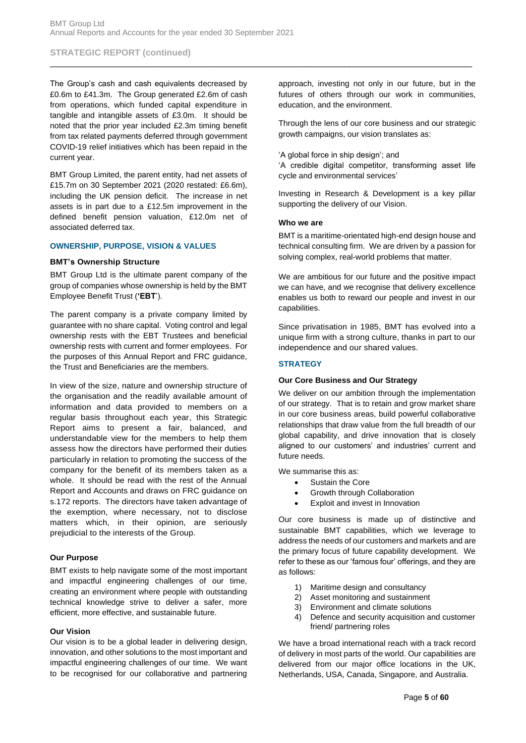The Group's cash and cash equivalents decreased by £0.6m to £41.3m. The Group generated £2.6m of cash from operations, which funded capital expenditure in tangible and intangible assets of £3.0m. It should be noted that the prior year included £2.3m timing benefit from tax related payments deferred through government COVID-19 relief initiatives which has been repaid in the current year.

BMT Group Limited, the parent entity, had net assets of £15.7m on 30 September 2021 (2020 restated: £6.6m), including the UK pension deficit. The increase in net assets is in part due to a £12.5m improvement in the defined benefit pension valuation, £12.0m net of associated deferred tax.

#### **OWNERSHIP, PURPOSE, VISION & VALUES**

#### **BMT's Ownership Structure**

BMT Group Ltd is the ultimate parent company of the group of companies whose ownership is held by the BMT Employee Benefit Trust (**'EBT**').

The parent company is a private company limited by guarantee with no share capital. Voting control and legal ownership rests with the EBT Trustees and beneficial ownership rests with current and former employees. For the purposes of this Annual Report and FRC guidance, the Trust and Beneficiaries are the members.

In view of the size, nature and ownership structure of the organisation and the readily available amount of information and data provided to members on a regular basis throughout each year, this Strategic Report aims to present a fair, balanced, and understandable view for the members to help them assess how the directors have performed their duties particularly in relation to promoting the success of the company for the benefit of its members taken as a whole. It should be read with the rest of the Annual Report and Accounts and draws on FRC guidance on s.172 reports. The directors have taken advantage of the exemption, where necessary, not to disclose matters which, in their opinion, are seriously prejudicial to the interests of the Group.

#### **Our Purpose**

BMT exists to help navigate some of the most important and impactful engineering challenges of our time, creating an environment where people with outstanding technical knowledge strive to deliver a safer, more efficient, more effective, and sustainable future.

#### **Our Vision**

Our vision is to be a global leader in delivering design, innovation, and other solutions to the most important and impactful engineering challenges of our time. We want to be recognised for our collaborative and partnering

approach, investing not only in our future, but in the futures of others through our work in communities, education, and the environment.

Through the lens of our core business and our strategic growth campaigns, our vision translates as:

'A global force in ship design'; and

'A credible digital competitor, transforming asset life cycle and environmental services'

Investing in Research & Development is a key pillar supporting the delivery of our Vision.

#### **Who we are**

\_\_\_\_\_\_\_\_\_\_\_\_\_\_\_\_\_\_\_\_\_\_\_\_\_\_\_\_\_\_\_\_\_\_\_\_\_\_\_\_\_\_\_\_\_\_\_\_\_\_\_\_\_\_\_\_\_\_\_\_\_\_\_\_\_\_\_\_\_\_\_\_\_\_\_\_\_\_\_\_\_\_\_\_\_\_

BMT is a maritime-orientated high-end design house and technical consulting firm. We are driven by a passion for solving complex, real-world problems that matter.

We are ambitious for our future and the positive impact we can have, and we recognise that delivery excellence enables us both to reward our people and invest in our capabilities.

Since privatisation in 1985, BMT has evolved into a unique firm with a strong culture, thanks in part to our independence and our shared values.

## **STRATEGY**

#### **Our Core Business and Our Strategy**

We deliver on our ambition through the implementation of our strategy. That is to retain and grow market share in our core business areas, build powerful collaborative relationships that draw value from the full breadth of our global capability, and drive innovation that is closely aligned to our customers' and industries' current and future needs.

We summarise this as:

- Sustain the Core
- Growth through Collaboration
- Exploit and invest in Innovation

Our core business is made up of distinctive and sustainable BMT capabilities, which we leverage to address the needs of our customers and markets and are the primary focus of future capability development. We refer to these as our 'famous four' offerings, and they are as follows:

- 1) Maritime design and consultancy
- 2) Asset monitoring and sustainment
- 3) Environment and climate solutions
- 4) Defence and security acquisition and customer friend/ partnering roles

We have a broad international reach with a track record of delivery in most parts of the world. Our capabilities are delivered from our major office locations in the UK, Netherlands, USA, Canada, Singapore, and Australia.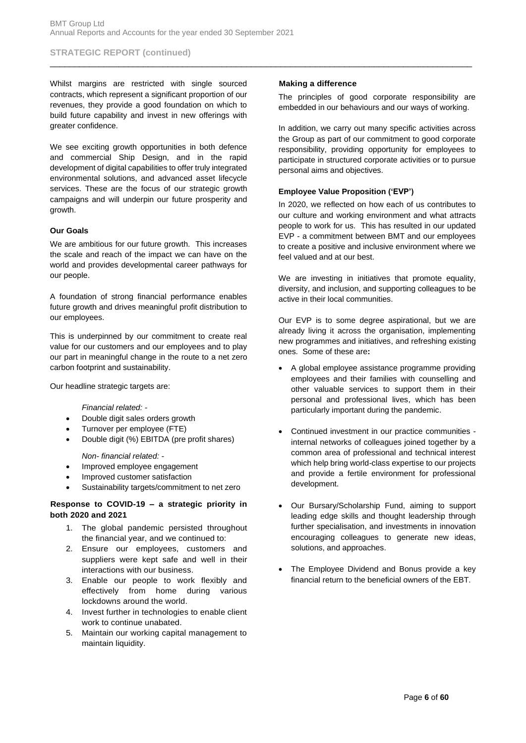Whilst margins are restricted with single sourced contracts, which represent a significant proportion of our revenues, they provide a good foundation on which to build future capability and invest in new offerings with greater confidence.

We see exciting growth opportunities in both defence and commercial Ship Design, and in the rapid development of digital capabilities to offer truly integrated environmental solutions, and advanced asset lifecycle services. These are the focus of our strategic growth campaigns and will underpin our future prosperity and growth.

#### **Our Goals**

We are ambitious for our future growth. This increases the scale and reach of the impact we can have on the world and provides developmental career pathways for our people.

A foundation of strong financial performance enables future growth and drives meaningful profit distribution to our employees.

This is underpinned by our commitment to create real value for our customers and our employees and to play our part in meaningful change in the route to a net zero carbon footprint and sustainability.

Our headline strategic targets are:

*Financial related: -*

- Double digit sales orders growth
- Turnover per employee (FTE)
- Double digit (%) EBITDA (pre profit shares)

*Non- financial related: -*

- Improved employee engagement
- Improved customer satisfaction
- Sustainability targets/commitment to net zero

#### **Response to COVID-19 – a strategic priority in both 2020 and 2021**

- 1. The global pandemic persisted throughout the financial year, and we continued to:
- 2. Ensure our employees, customers and suppliers were kept safe and well in their interactions with our business.
- 3. Enable our people to work flexibly and effectively from home during various lockdowns around the world.
- 4. Invest further in technologies to enable client work to continue unabated.
- 5. Maintain our working capital management to maintain liquidity.

#### **Making a difference**

\_\_\_\_\_\_\_\_\_\_\_\_\_\_\_\_\_\_\_\_\_\_\_\_\_\_\_\_\_\_\_\_\_\_\_\_\_\_\_\_\_\_\_\_\_\_\_\_\_\_\_\_\_\_\_\_\_\_\_\_\_\_\_\_\_\_\_\_\_\_\_\_\_\_\_\_\_\_\_\_\_\_\_\_\_\_

The principles of good corporate responsibility are embedded in our behaviours and our ways of working.

In addition, we carry out many specific activities across the Group as part of our commitment to good corporate responsibility, providing opportunity for employees to participate in structured corporate activities or to pursue personal aims and objectives.

## **Employee Value Proposition ('EVP')**

In 2020, we reflected on how each of us contributes to our culture and working environment and what attracts people to work for us. This has resulted in our updated EVP - a commitment between BMT and our employees to create a positive and inclusive environment where we feel valued and at our best.

We are investing in initiatives that promote equality, diversity, and inclusion, and supporting colleagues to be active in their local communities.

Our EVP is to some degree aspirational, but we are already living it across the organisation, implementing new programmes and initiatives, and refreshing existing ones. Some of these are**:**

- A global employee assistance programme providing employees and their families with counselling and other valuable services to support them in their personal and professional lives, which has been particularly important during the pandemic.
- Continued investment in our practice communities internal networks of colleagues joined together by a common area of professional and technical interest which help bring world-class expertise to our projects and provide a fertile environment for professional development.
- Our Bursary/Scholarship Fund, aiming to support leading edge skills and thought leadership through further specialisation, and investments in innovation encouraging colleagues to generate new ideas, solutions, and approaches.
- The Employee Dividend and Bonus provide a key financial return to the beneficial owners of the EBT.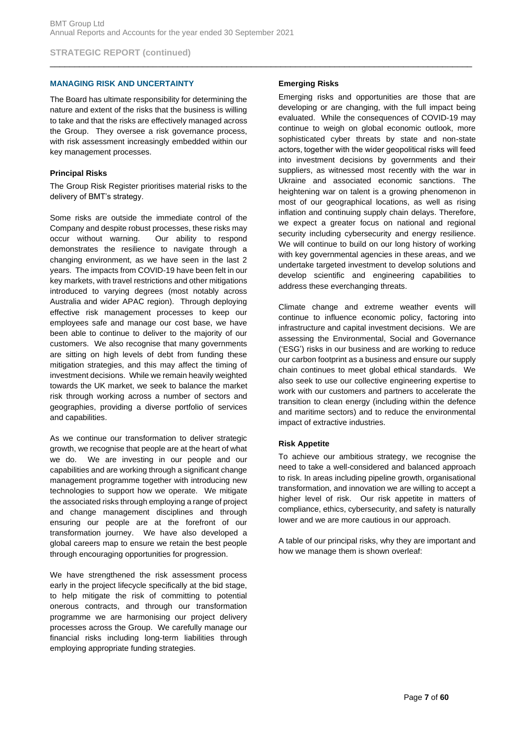## **MANAGING RISK AND UNCERTAINTY**

The Board has ultimate responsibility for determining the nature and extent of the risks that the business is willing to take and that the risks are effectively managed across the Group. They oversee a risk governance process, with risk assessment increasingly embedded within our key management processes.

## **Principal Risks**

The Group Risk Register prioritises material risks to the delivery of BMT's strategy.

Some risks are outside the immediate control of the Company and despite robust processes, these risks may occur without warning. Our ability to respond demonstrates the resilience to navigate through a changing environment, as we have seen in the last 2 years. The impacts from COVID-19 have been felt in our key markets, with travel restrictions and other mitigations introduced to varying degrees (most notably across Australia and wider APAC region). Through deploying effective risk management processes to keep our employees safe and manage our cost base, we have been able to continue to deliver to the majority of our customers. We also recognise that many governments are sitting on high levels of debt from funding these mitigation strategies, and this may affect the timing of investment decisions. While we remain heavily weighted towards the UK market, we seek to balance the market risk through working across a number of sectors and geographies, providing a diverse portfolio of services and capabilities.

As we continue our transformation to deliver strategic growth, we recognise that people are at the heart of what we do. We are investing in our people and our capabilities and are working through a significant change management programme together with introducing new technologies to support how we operate. We mitigate the associated risks through employing a range of project and change management disciplines and through ensuring our people are at the forefront of our transformation journey. We have also developed a global careers map to ensure we retain the best people through encouraging opportunities for progression.

We have strengthened the risk assessment process early in the project lifecycle specifically at the bid stage, to help mitigate the risk of committing to potential onerous contracts, and through our transformation programme we are harmonising our project delivery processes across the Group. We carefully manage our financial risks including long-term liabilities through employing appropriate funding strategies.

## **Emerging Risks**

\_\_\_\_\_\_\_\_\_\_\_\_\_\_\_\_\_\_\_\_\_\_\_\_\_\_\_\_\_\_\_\_\_\_\_\_\_\_\_\_\_\_\_\_\_\_\_\_\_\_\_\_\_\_\_\_\_\_\_\_\_\_\_\_\_\_\_\_\_\_\_\_\_\_\_\_\_\_\_\_\_\_\_\_\_\_

Emerging risks and opportunities are those that are developing or are changing, with the full impact being evaluated. While the consequences of COVID-19 may continue to weigh on global economic outlook, more sophisticated cyber threats by state and non-state actors, together with the wider geopolitical risks will feed into investment decisions by governments and their suppliers, as witnessed most recently with the war in Ukraine and associated economic sanctions. The heightening war on talent is a growing phenomenon in most of our geographical locations, as well as rising inflation and continuing supply chain delays. Therefore, we expect a greater focus on national and regional security including cybersecurity and energy resilience. We will continue to build on our long history of working with key governmental agencies in these areas, and we undertake targeted investment to develop solutions and develop scientific and engineering capabilities to address these everchanging threats.

Climate change and extreme weather events will continue to influence economic policy, factoring into infrastructure and capital investment decisions. We are assessing the Environmental, Social and Governance ('ESG') risks in our business and are working to reduce our carbon footprint as a business and ensure our supply chain continues to meet global ethical standards. We also seek to use our collective engineering expertise to work with our customers and partners to accelerate the transition to clean energy (including within the defence and maritime sectors) and to reduce the environmental impact of extractive industries.

## **Risk Appetite**

To achieve our ambitious strategy, we recognise the need to take a well-considered and balanced approach to risk. In areas including pipeline growth, organisational transformation, and innovation we are willing to accept a higher level of risk. Our risk appetite in matters of compliance, ethics, cybersecurity, and safety is naturally lower and we are more cautious in our approach.

A table of our principal risks, why they are important and how we manage them is shown overleaf: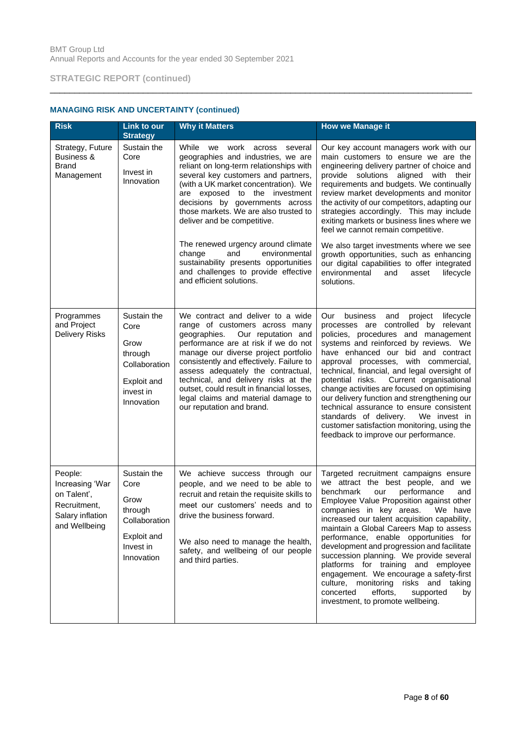| <b>Risk</b>                                                                                    | Link to our<br><b>Strategy</b>                                                                    | <b>Why it Matters</b>                                                                                                                                                                                                                                                                                                                                                                                                                | How we Manage it                                                                                                                                                                                                                                                                                                                                                                                                                                                                                                                                                                                                                                   |
|------------------------------------------------------------------------------------------------|---------------------------------------------------------------------------------------------------|--------------------------------------------------------------------------------------------------------------------------------------------------------------------------------------------------------------------------------------------------------------------------------------------------------------------------------------------------------------------------------------------------------------------------------------|----------------------------------------------------------------------------------------------------------------------------------------------------------------------------------------------------------------------------------------------------------------------------------------------------------------------------------------------------------------------------------------------------------------------------------------------------------------------------------------------------------------------------------------------------------------------------------------------------------------------------------------------------|
| Strategy, Future<br><b>Business &amp;</b><br>Brand<br>Management                               | Sustain the<br>Core<br>Invest in<br>Innovation                                                    | While we work across<br>several<br>geographies and industries, we are<br>reliant on long-term relationships with<br>several key customers and partners,<br>(with a UK market concentration). We<br>are exposed to the investment<br>decisions by governments across<br>those markets. We are also trusted to<br>deliver and be competitive.                                                                                          | Our key account managers work with our<br>main customers to ensure we are the<br>engineering delivery partner of choice and<br>provide solutions aligned with their<br>requirements and budgets. We continually<br>review market developments and monitor<br>the activity of our competitors, adapting our<br>strategies accordingly. This may include<br>exiting markets or business lines where we<br>feel we cannot remain competitive.                                                                                                                                                                                                         |
|                                                                                                |                                                                                                   | The renewed urgency around climate<br>change<br>and<br>environmental<br>sustainability presents opportunities<br>and challenges to provide effective<br>and efficient solutions.                                                                                                                                                                                                                                                     | We also target investments where we see<br>growth opportunities, such as enhancing<br>our digital capabilities to offer integrated<br>environmental<br>lifecycle<br>and<br>asset<br>solutions.                                                                                                                                                                                                                                                                                                                                                                                                                                                     |
| Programmes<br>and Project<br><b>Delivery Risks</b>                                             | Sustain the<br>Core<br>Grow<br>through<br>Collaboration<br>Exploit and<br>invest in<br>Innovation | We contract and deliver to a wide<br>range of customers across many<br>geographies.<br>Our reputation and<br>performance are at risk if we do not<br>manage our diverse project portfolio<br>consistently and effectively. Failure to<br>assess adequately the contractual,<br>technical, and delivery risks at the<br>outset, could result in financial losses,<br>legal claims and material damage to<br>our reputation and brand. | Our<br>business<br>lifecycle<br>and<br>project<br>processes are controlled by relevant<br>policies, procedures and management<br>systems and reinforced by reviews. We<br>have enhanced our bid and contract<br>approval processes, with commercial,<br>technical, financial, and legal oversight of<br>potential risks. Current organisational<br>change activities are focused on optimising<br>our delivery function and strengthening our<br>technical assurance to ensure consistent<br>standards of delivery. We invest in<br>customer satisfaction monitoring, using the<br>feedback to improve our performance.                            |
| People:<br>Increasing 'War<br>on Talent',<br>Recruitment,<br>Salary inflation<br>and Wellbeing | Sustain the<br>Core<br>Grow<br>through<br>Collaboration<br>Exploit and<br>Invest in<br>Innovation | We achieve success through our<br>people, and we need to be able to<br>recruit and retain the requisite skills to<br>meet our customers' needs and to<br>drive the business forward.<br>We also need to manage the health,<br>safety, and wellbeing of our people<br>and third parties.                                                                                                                                              | Targeted recruitment campaigns ensure<br>we attract the best people, and we<br>benchmark<br>performance<br>our<br>and<br>Employee Value Proposition against other<br>companies in key areas.<br>We have<br>increased our talent acquisition capability,<br>maintain a Global Careers Map to assess<br>performance, enable opportunities for<br>development and progression and facilitate<br>succession planning. We provide several<br>platforms for training and employee<br>engagement. We encourage a safety-first<br>culture, monitoring<br>risks and taking<br>concerted<br>efforts,<br>supported<br>by<br>investment, to promote wellbeing. |

\_\_\_\_\_\_\_\_\_\_\_\_\_\_\_\_\_\_\_\_\_\_\_\_\_\_\_\_\_\_\_\_\_\_\_\_\_\_\_\_\_\_\_\_\_\_\_\_\_\_\_\_\_\_\_\_\_\_\_\_\_\_\_\_\_\_\_\_\_\_\_\_\_\_\_\_\_\_\_\_\_\_\_\_\_\_

# **MANAGING RISK AND UNCERTAINTY (continued)**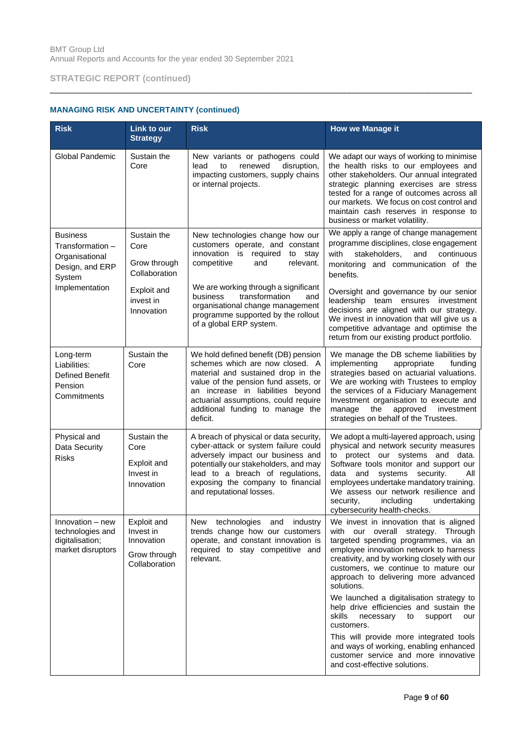| <b>Risk</b>                                                                        | Link to our<br><b>Strategy</b>                                          | <b>Risk</b>                                                                                                                                                                                                                                                                        | <b>How we Manage it</b>                                                                                                                                                                                                                                                                                                                                                    |
|------------------------------------------------------------------------------------|-------------------------------------------------------------------------|------------------------------------------------------------------------------------------------------------------------------------------------------------------------------------------------------------------------------------------------------------------------------------|----------------------------------------------------------------------------------------------------------------------------------------------------------------------------------------------------------------------------------------------------------------------------------------------------------------------------------------------------------------------------|
| <b>Global Pandemic</b>                                                             | Sustain the<br>Core                                                     | New variants or pathogens could<br>disruption,<br>renewed<br>lead<br>to<br>impacting customers, supply chains<br>or internal projects.                                                                                                                                             | We adapt our ways of working to minimise<br>the health risks to our employees and<br>other stakeholders. Our annual integrated<br>strategic planning exercises are stress<br>tested for a range of outcomes across all<br>our markets. We focus on cost control and<br>maintain cash reserves in response to<br>business or market volatility.                             |
| <b>Business</b><br>Transformation -<br>Organisational<br>Design, and ERP<br>System | Sustain the<br>Core<br>Grow through<br>Collaboration                    | New technologies change how our<br>customers operate, and constant<br>innovation<br>required<br>is<br>to stay<br>relevant.<br>competitive<br>and                                                                                                                                   | We apply a range of change management<br>programme disciplines, close engagement<br>with<br>stakeholders,<br>and<br>continuous<br>monitoring and communication of the<br>benefits.                                                                                                                                                                                         |
| Implementation                                                                     | Exploit and<br>invest in<br>Innovation                                  | We are working through a significant<br>transformation<br>business<br>and<br>organisational change management<br>programme supported by the rollout<br>of a global ERP system.                                                                                                     | Oversight and governance by our senior<br>leadership team ensures investment<br>decisions are aligned with our strategy.<br>We invest in innovation that will give us a<br>competitive advantage and optimise the<br>return from our existing product portfolio.                                                                                                           |
| Long-term<br>Liabilities:<br><b>Defined Benefit</b><br>Pension<br>Commitments      | Sustain the<br>Core                                                     | We hold defined benefit (DB) pension<br>schemes which are now closed. A<br>material and sustained drop in the<br>value of the pension fund assets, or<br>an increase in liabilities beyond<br>actuarial assumptions, could require<br>additional funding to manage the<br>deficit. | We manage the DB scheme liabilities by<br>implementing<br>appropriate<br>funding<br>strategies based on actuarial valuations.<br>We are working with Trustees to employ<br>the services of a Fiduciary Management<br>Investment organisation to execute and<br>manage<br>approved<br>investment<br>the<br>strategies on behalf of the Trustees.                            |
| Physical and<br>Data Security<br><b>Risks</b>                                      | Sustain the<br>Core<br>Exploit and<br>Invest in<br>Innovation           | A breach of physical or data security,<br>cyber-attack or system failure could<br>adversely impact our business and<br>potentially our stakeholders, and may<br>lead to a breach of regulations,<br>exposing the company to financial<br>and reputational losses.                  | We adopt a multi-layered approach, using<br>physical and network security measures<br>to protect our systems and data.<br>Software tools monitor and support our<br>systems<br>security.<br>data<br>and<br>All<br>employees undertake mandatory training.<br>We assess our network resilience and<br>including<br>undertaking<br>security,<br>cybersecurity health-checks. |
| Innovation – new<br>technologies and<br>digitalisation;<br>market disruptors       | Exploit and<br>Invest in<br>Innovation<br>Grow through<br>Collaboration | New technologies and industry<br>trends change how our customers<br>operate, and constant innovation is<br>required to stay competitive and<br>relevant.                                                                                                                           | We invest in innovation that is aligned<br>with our overall<br>strategy. Through<br>targeted spending programmes, via an<br>employee innovation network to harness<br>creativity, and by working closely with our<br>customers, we continue to mature our<br>approach to delivering more advanced<br>solutions.<br>We launched a digitalisation strategy to                |
|                                                                                    |                                                                         |                                                                                                                                                                                                                                                                                    | help drive efficiencies and sustain the<br>skills<br>necessary<br>to<br>support<br>our<br>customers.<br>This will provide more integrated tools<br>and ways of working, enabling enhanced<br>customer service and more innovative<br>and cost-effective solutions.                                                                                                         |

\_\_\_\_\_\_\_\_\_\_\_\_\_\_\_\_\_\_\_\_\_\_\_\_\_\_\_\_\_\_\_\_\_\_\_\_\_\_\_\_\_\_\_\_\_\_\_\_\_\_\_\_\_\_\_\_\_\_\_\_\_\_\_\_\_\_\_\_\_\_\_\_\_\_\_\_\_\_\_\_\_\_\_\_\_\_

# **MANAGING RISK AND UNCERTAINTY (continued)**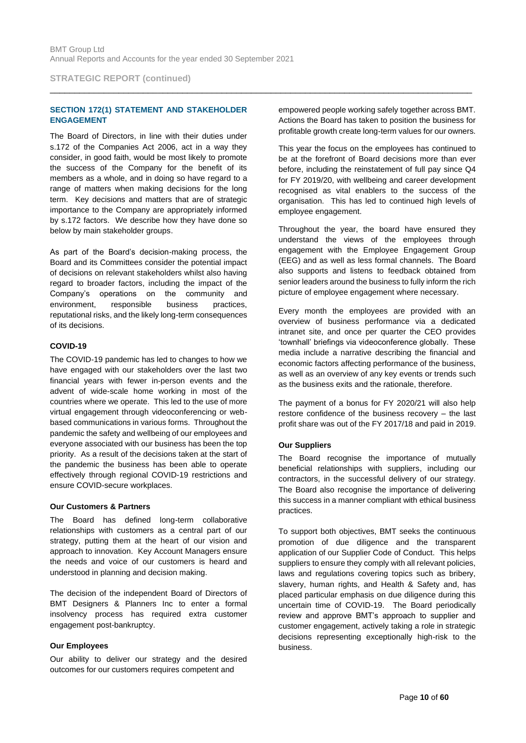**STRATEGIC REPORT (continued)**

## **SECTION 172(1) STATEMENT AND STAKEHOLDER ENGAGEMENT**

The Board of Directors, in line with their duties under s.172 of the Companies Act 2006, act in a way they consider, in good faith, would be most likely to promote the success of the Company for the benefit of its members as a whole, and in doing so have regard to a range of matters when making decisions for the long term. Key decisions and matters that are of strategic importance to the Company are appropriately informed by s.172 factors. We describe how they have done so below by main stakeholder groups.

As part of the Board's decision-making process, the Board and its Committees consider the potential impact of decisions on relevant stakeholders whilst also having regard to broader factors, including the impact of the Company's operations on the community and environment, responsible business practices, reputational risks, and the likely long-term consequences of its decisions.

#### **COVID-19**

The COVID-19 pandemic has led to changes to how we have engaged with our stakeholders over the last two financial years with fewer in-person events and the advent of wide-scale home working in most of the countries where we operate. This led to the use of more virtual engagement through videoconferencing or webbased communications in various forms. Throughout the pandemic the safety and wellbeing of our employees and everyone associated with our business has been the top priority. As a result of the decisions taken at the start of the pandemic the business has been able to operate effectively through regional COVID-19 restrictions and ensure COVID-secure workplaces.

#### **Our Customers & Partners**

The Board has defined long-term collaborative relationships with customers as a central part of our strategy, putting them at the heart of our vision and approach to innovation. Key Account Managers ensure the needs and voice of our customers is heard and understood in planning and decision making.

The decision of the independent Board of Directors of BMT Designers & Planners Inc to enter a formal insolvency process has required extra customer engagement post-bankruptcy.

#### **Our Employees**

Our ability to deliver our strategy and the desired outcomes for our customers requires competent and

empowered people working safely together across BMT. Actions the Board has taken to position the business for profitable growth create long-term values for our owners.

This year the focus on the employees has continued to be at the forefront of Board decisions more than ever before, including the reinstatement of full pay since Q4 for FY 2019/20, with wellbeing and career development recognised as vital enablers to the success of the organisation. This has led to continued high levels of employee engagement.

Throughout the year, the board have ensured they understand the views of the employees through engagement with the Employee Engagement Group (EEG) and as well as less formal channels. The Board also supports and listens to feedback obtained from senior leaders around the business to fully inform the rich picture of employee engagement where necessary.

Every month the employees are provided with an overview of business performance via a dedicated intranet site, and once per quarter the CEO provides 'townhall' briefings via videoconference globally. These media include a narrative describing the financial and economic factors affecting performance of the business, as well as an overview of any key events or trends such as the business exits and the rationale, therefore.

The payment of a bonus for FY 2020/21 will also help restore confidence of the business recovery – the last profit share was out of the FY 2017/18 and paid in 2019.

## **Our Suppliers**

The Board recognise the importance of mutually beneficial relationships with suppliers, including our contractors, in the successful delivery of our strategy. The Board also recognise the importance of delivering this success in a manner compliant with ethical business practices.

To support both objectives, BMT seeks the continuous promotion of due diligence and the transparent application of our Supplier Code of Conduct. This helps suppliers to ensure they comply with all relevant policies, laws and regulations covering topics such as bribery, slavery, human rights, and Health & Safety and, has placed particular emphasis on due diligence during this uncertain time of COVID-19. The Board periodically review and approve BMT's approach to supplier and customer engagement, actively taking a role in strategic decisions representing exceptionally high-risk to the business.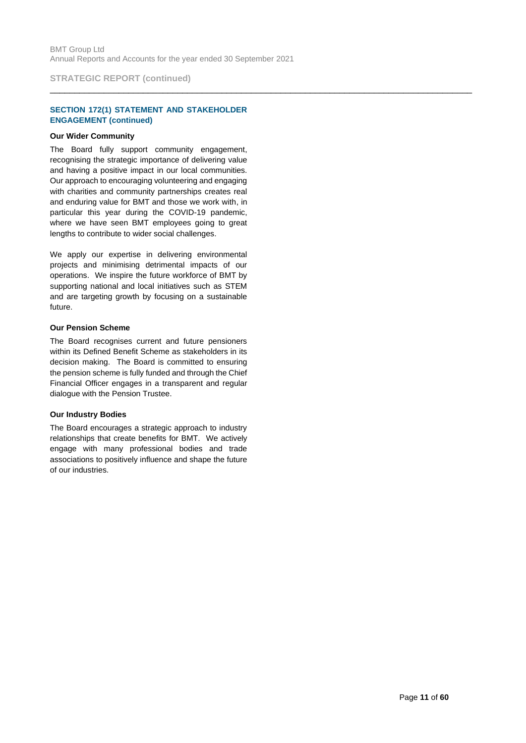**STRATEGIC REPORT (continued)**

## **SECTION 172(1) STATEMENT AND STAKEHOLDER ENGAGEMENT (continued)**

#### **Our Wider Community**

The Board fully support community engagement, recognising the strategic importance of delivering value and having a positive impact in our local communities. Our approach to encouraging volunteering and engaging with charities and community partnerships creates real and enduring value for BMT and those we work with, in particular this year during the COVID-19 pandemic, where we have seen BMT employees going to great lengths to contribute to wider social challenges.

We apply our expertise in delivering environmental projects and minimising detrimental impacts of our operations. We inspire the future workforce of BMT by supporting national and local initiatives such as STEM and are targeting growth by focusing on a sustainable future.

#### **Our Pension Scheme**

The Board recognises current and future pensioners within its Defined Benefit Scheme as stakeholders in its decision making. The Board is committed to ensuring the pension scheme is fully funded and through the Chief Financial Officer engages in a transparent and regular dialogue with the Pension Trustee.

## **Our Industry Bodies**

The Board encourages a strategic approach to industry relationships that create benefits for BMT. We actively engage with many professional bodies and trade associations to positively influence and shape the future of our industries.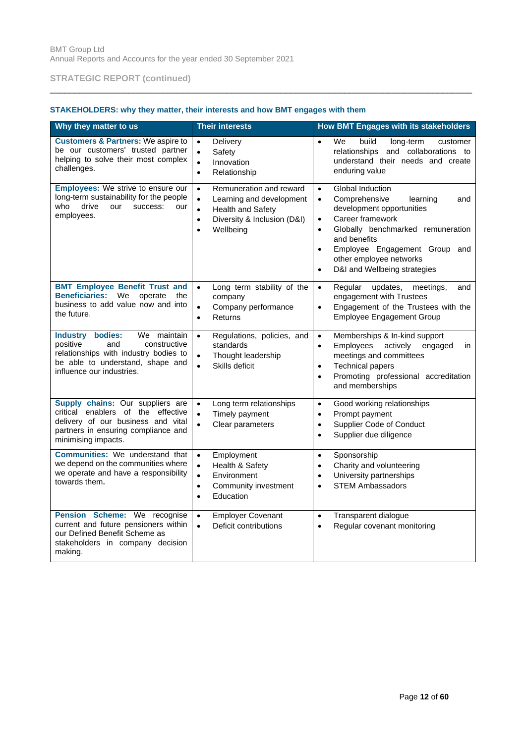# **STAKEHOLDERS: why they matter, their interests and how BMT engages with them**

| Why they matter to us                                                                                                                                                        | <b>Their interests</b>                                                                                                                                                                       | How BMT Engages with its stakeholders                                                                                                                                                                                                                                                                                                |
|------------------------------------------------------------------------------------------------------------------------------------------------------------------------------|----------------------------------------------------------------------------------------------------------------------------------------------------------------------------------------------|--------------------------------------------------------------------------------------------------------------------------------------------------------------------------------------------------------------------------------------------------------------------------------------------------------------------------------------|
| <b>Customers &amp; Partners: We aspire to</b><br>be our customers' trusted partner<br>helping to solve their most complex<br>challenges.                                     | Delivery<br>$\bullet$<br>Safety<br>$\bullet$<br>Innovation<br>$\bullet$<br>Relationship<br>$\bullet$                                                                                         | We<br>build<br>long-term<br>customer<br>$\bullet$<br>relationships and collaborations to<br>understand their needs and create<br>enduring value                                                                                                                                                                                      |
| <b>Employees:</b> We strive to ensure our<br>long-term sustainability for the people<br>drive<br>who<br>our<br>success:<br>our<br>employees.                                 | Remuneration and reward<br>$\bullet$<br>$\bullet$<br>Learning and development<br><b>Health and Safety</b><br>$\bullet$<br>Diversity & Inclusion (D&I)<br>$\bullet$<br>Wellbeing<br>$\bullet$ | Global Induction<br>$\bullet$<br>Comprehensive<br>learning<br>and<br>$\bullet$<br>development opportunities<br>Career framework<br>$\bullet$<br>Globally benchmarked remuneration<br>$\bullet$<br>and benefits<br>Employee Engagement Group and<br>$\bullet$<br>other employee networks<br>D&I and Wellbeing strategies<br>$\bullet$ |
| <b>BMT Employee Benefit Trust and</b><br><b>Beneficiaries:</b><br>We<br>operate<br>the<br>business to add value now and into<br>the future.                                  | Long term stability of the<br>$\bullet$<br>company<br>Company performance<br>$\bullet$<br>Returns<br>$\bullet$                                                                               | Regular<br>updates,<br>meetings,<br>and<br>$\bullet$<br>engagement with Trustees<br>Engagement of the Trustees with the<br>$\bullet$<br><b>Employee Engagement Group</b>                                                                                                                                                             |
| Industry bodies:<br>We maintain<br>positive<br>and<br>constructive<br>relationships with industry bodies to<br>be able to understand, shape and<br>influence our industries. | Regulations, policies, and<br>$\bullet$<br>standards<br>Thought leadership<br>$\bullet$<br>Skills deficit<br>$\bullet$                                                                       | Memberships & In-kind support<br>$\bullet$<br>Employees<br>actively<br>engaged<br>$\bullet$<br>in<br>meetings and committees<br><b>Technical papers</b><br>$\bullet$<br>Promoting professional accreditation<br>$\bullet$<br>and memberships                                                                                         |
| Supply chains: Our suppliers are<br>critical enablers of the effective<br>delivery of our business and vital<br>partners in ensuring compliance and<br>minimising impacts.   | Long term relationships<br>$\bullet$<br>Timely payment<br>$\bullet$<br>Clear parameters<br>$\bullet$                                                                                         | Good working relationships<br>$\bullet$<br>Prompt payment<br>$\bullet$<br>Supplier Code of Conduct<br>$\bullet$<br>Supplier due diligence<br>$\bullet$                                                                                                                                                                               |
| Communities: We understand that<br>we depend on the communities where<br>we operate and have a responsibility<br>towards them.                                               | Employment<br>$\bullet$<br>Health & Safety<br>$\bullet$<br>$\bullet$<br>Environment<br>Community investment<br>$\bullet$<br>Education<br>$\bullet$                                           | Sponsorship<br>$\bullet$<br>Charity and volunteering<br>$\bullet$<br>University partnerships<br>$\bullet$<br><b>STEM Ambassadors</b><br>$\bullet$                                                                                                                                                                                    |
| Pension Scheme: We recognise<br>current and future pensioners within<br>our Defined Benefit Scheme as<br>stakeholders in company decision<br>making.                         | <b>Employer Covenant</b><br>$\bullet$<br>Deficit contributions<br>$\bullet$                                                                                                                  | Transparent dialogue<br>$\bullet$<br>Regular covenant monitoring<br>$\bullet$                                                                                                                                                                                                                                                        |

\_\_\_\_\_\_\_\_\_\_\_\_\_\_\_\_\_\_\_\_\_\_\_\_\_\_\_\_\_\_\_\_\_\_\_\_\_\_\_\_\_\_\_\_\_\_\_\_\_\_\_\_\_\_\_\_\_\_\_\_\_\_\_\_\_\_\_\_\_\_\_\_\_\_\_\_\_\_\_\_\_\_\_\_\_\_